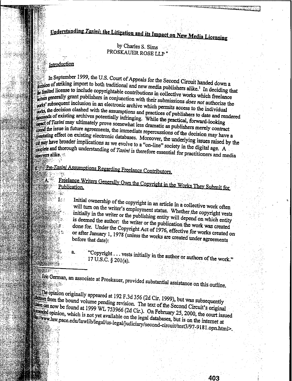# Understanding Tasini: the Litigation and its Impact on New Media Licensing

# by Charles S. Sims PROSKAUER ROSE LLP

#### Introduction

戀 14

ेख

**Wandele** 

**WARM COVER** 

In September 1999, the U.S. Court of Appeals for the Second Circuit handed down a extraon of striking import to both traditional and new media publishers alike.<sup>1</sup> In deciding that limited license to include copyrightable contributions in collective works which freelance their states generally grant publishers in conjunction with their submissions does not authorize the which permits access to the individual the decision clashed with the assumptions and practices of publishers to date and rendered dusands of existing archives potentially infringing. While the practical, forward-looking and of Tasini may ultimately prove somewhat less dramatic as publishers merely contract and the issue in future agreements, the immediate repercussions of the decision may have a existing effect on existing electronic databases. Moreover, the underlying issues raised by the may have broader implications as we evolve to a "on-line" society in the digital age. A peoplete and thorough understanding of Tasini is therefore essential for practitioners and media decrets alike.

# Pre-*Tasini* Assumptions Regarding Freelance Contributors.

Freelance Writers Generally Own the Copyright in the Works They Submit for  $\lambda \ll$ HALL ST

> Initial ownership of the copyright in an article in a collective work often will turn on the writer's employment status. Whether the copyright vests initially in the writer or the publishing entity will depend on which entity is deemed the author: the writer or the publication the work was created done for. Under the Copyright Act of 1976, effective for works created on or after January 1, 1978 (unless the works are created under agreements before that date):

"Copyright . . . vests initially in the author or authors of the work." 17 U.S.C. § 201(a).

Eric German, an associate at Proskauer, provided substantial assistance on this outline.

the opinion originally appeared at 192 F.3d 356 (2d Cir. 1999), but was subsequently dawn from the bound volume pending revision. The text of the Second Circuit's original  $\frac{1}{2000}$  can now be found at 1999 WL 753966 (2d Cir.). On February 25, 2000, the court issued **Runned** opinion, which is not yet available on the legal databases, but is on the internet at Elmww.law.pace.edu/lawlib/legal/us-legal/judiciary/second-circuit/test3/97-9181.opn.html>.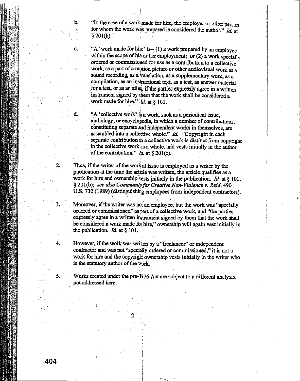b. "In the case of a work made for hire, the employer or other person for whom the work was prepared is considered the author." *Id*, at  $\S 201(b)$ . ا<br>1

c. "A 'work made for hire' is-- $(1)$  a work prepared by an employee within the scope of his or her employment; or  $(2)$  a work specially ordered or commissioned for use as a contribution to a collective work, as a part of a motion picture or other audiovisual work as a sound recording, as a translation, as a supplementary work, as a compilation, as an instructional text, as a test, as answer material for a test, or as an atlas, if the parties expressly agree in a written instrument signed by them that the work shall be considered a work made for hire."  $\overline{d}$ , at § 101.

 $d.$  "A 'collective work' is a work, such as a periodical issue, anthology, or encyclopedia, in which a number of contributions, constituting separate and independent works in themselves, are assembled into a collective whole."  $Id$ . "Copyright in each separate contribution to a collective work is distinct from copyright in the collective work as a whole, and vests initially in the author of the contribution."  $\mathcal{U}$ , at § 201(c).

2. Thus, if the writer of the work at issue is employed as a writer by the publication at the time the article was written, the article qualifies as a work for hire and ownership vests initially in the publication. *Id.* at § 101, § 201(b); *see alsoCommunity/or Creative Non-Violence v. Reid, 490* U.S. 730 (1989) (distinguishing employees from independent contractors).

Moreover, if the writer was not an employee, but the work was "specially ordered or commissioned" as part of a collective work, and "the parties expressly agree in a written instrument signed by them that the work shall be considered a work made for hire," ownership will again vest initially in the publication.  $Id.$  at § 101.

4. However, if the work was written by a "freelancer" or independent contractor and was not "specially ordered or commissioned," it is not a work for hire and the copyright ownership vests initially in the writer who is the statutory author of the work.

5. Works created under the pre-1976 Act are subject to a different analysis, not addressed here.

 $\ddotsc$ 

2

**404**

'.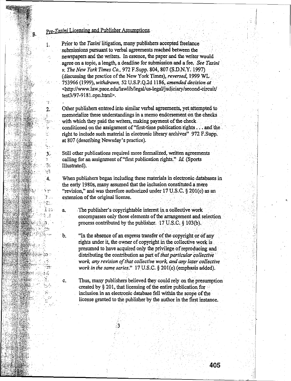# Pre-Tasini Licensing and Publisher Assumptions.

் B.

1.

 $\mathbb{R}^2$ 

 $\overline{2}$ .

ġ.

 $\mathbf{r}_1$  ,

 $\frac{1}{4}$ 

ia<br>Na

 $\mathcal{L}_{\mathcal{L}}$ 

 $3<sup>1</sup>$ 

 $\cdot$  $\mathcal{L}_{\mathcal{L}}$ 

 $\mathbb{R}^3$ 

4.

ी कु

82 g

337.

 $\mathcal{I}$  . **S.** ો તા

a.

 $\mathbf b$ .

c.

rakti

**MARGER** 

**SHORE OF THE SECTION** 

**AMERICA** 

**MARK 的图**: 1974...

André de la

in kalifatikan.<br>Kabupatèn Kalifatikan MAS.

**SHELL** TO THE

**MAR** 

Prior to the Tasini litigation, many publishers accepted freelance submissions pursuant to verbal agreements reached between the newspapers and the writers. In essence, the paper and the writer would agree on a topic, a length, a deadline for submission and a fee. See Tasini v. The New York Times Co., 972 F. Supp. 804, 807 (S.D.N.Y. 1997) (discussing the practice of the New York Times), reversed, 1999 WL 753966 (1999), withdrawn, 52 U.S.P.Q.2d 1186, amended decision at <http://www.law.pace.edu/lawlib/legal/us-legal/judiciary/second-circuit/ test3/97-9181.opn.html>.

Other publishers entered into similar verbal agreements, yet attempted to memorialize these understandings in a memo endorsement on the checks with which they paid the writers, making payment of the check conditioned on the assignment of "first-time publication rights . . . and the right to include such material in electronic library archives" 972 F.Supp. at 807 (describing Newsday's practice).

Still other publications required more formalized, written agreements calling for an assignment of "first publication rights." Id. (Sports Illustrated).

When publishers began including these materials in electronic databases in the early 1980s, many assumed that the inclusion constituted a mere "revision," and was therefore authorized under 17 U.S.C. § 201(c) as an extension of the original license.

The publisher's copyrightable interest in a collective work encompasses only those elements of the arrangement and selection process contributed by the publisher.  $17 \text{ U.S.C.}$  § 103(b),

"In the absence of an express transfer of the copyright or of any rights under it, the owner of copyright in the collective work is presumed to have acquired only the privilege of reproducing and distributing the contribution as part of that particular collective work, any revision of that collective work, and any later collective work in the same series." 17 U.S.C. § 201(c) (emphasis added).

Thus, many publishers believed they could rely on the presumption created by  $\S 201$ , that licensing of the entire publication for inclusion in an electronic database fell within the scope of the license granted to the publisher by the author in the first instance.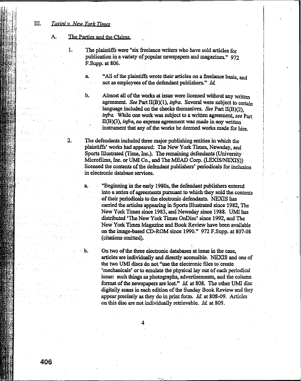# III. *Tasjni* y *New York Times*

#### A. The Parties and the Claims

1. The plaintiffs were "six freelance writers who have sold articles for publication in a variety of popular newspapers and magazines." 972 F.Supp. at 806.

> a. "All of the plaintiffs wrote their articles on a freelance basis, and not as employees of the defendant publishers." *Id.*

b. Almost all of the works at issue were licensed without any written agreement. See Part II(B)(1), *infra*. Several were subject to certain language included on the checks themselves. *See* Part II(B)(2), *infra.* While one work was subject to a written agreement, see Part II(B)(3), *infra*, no express agreement was made in any written instrument that any of the works be deemed works made for hire.

2. The defendants included three major publishing entities in which the plaintiffs' works had appeared: The New York Times, Newsday, and Sports Illustrated (Time, Inc.). The remaining defendants (University Microfilms, Inc. or UMI Co., and The MEAD Corp. (LEXIS/NEXIS)) licensed the contents of the defendant publishers' periodicals for inclusion in electronic'database services.

a. "Beginning in the early 1980s, the defendant publishers entered into a series of agreements pursuant to which they sold the contents of their periodicals to the electronic defendants. NEXIS has carried the articles appearing in Sports Illustrated since 1982, The New York Times since 1983, and Newsday since 1988. UMI has distributed 'The New York Times OnDisc' since 1992, and The New York Times Magazine and Book Review have been available on the image-based CD-ROM since 1990." 972 F.Supp. at 807-08 (citations omitted).

b. On two of the three electronic databases at issue in the case, articles are individually and directly accessible. NEXIS and one of the two UMI discs do not "use the electronic files to create 'mechanicals' or to emulate the physical lay out of each periodical issue: such things as photographs, advertisements, and the column format of the newspapers are lost." *Id.* at 808. The other UMI disc digitally scans in each edition of the Sunday Book Review and they appear precisely as they do in print form. *Id.* at 808-09. Articles on this discare not individually retrievable. *ld.* at 809.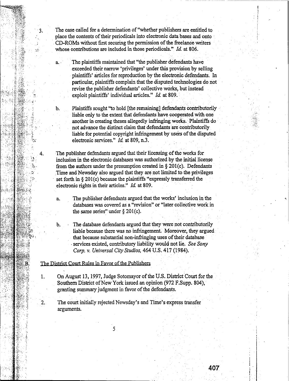The case called for a determination of "whether publishers are entitled to place the contents of their periodicals into electronic data bases and onto CD-ROMs without first securing the permission of the freelance writers whose contributions are included in those periodicals." *Id.* at 806.

3.

25

a. . The plaintiffs maintained that "the publisher defendants have exceeded their narrow 'privileges' under this provision by selling plaintiffs' articles for reproduction by the electronic defendants. In particular, plaintiffs complain that the disputed technologies do not revise the publisher defendants' collective works, but instead exploit plaintiffs' individual articles." *Id.* at 809.

b. Plaintiffs sought "to hold [the remaining] defendants contributorily liable only to the extent that defendants have cooperated with one another in creating theses allegedly infringing works. Plaintiffs do not advance the distinct claim that defendants are contributorily liable for potential copyright infringement by users of the disputed electronic services." *Id.* at 809, n.3.

The publisher defendants argued that their licensing of the works for inclusion in the electronic databases was authorized by the initial license from the authors under the presumption created in  $\S 201(c)$ . Defendants Time and Newsday also argued that they are not limited to the privileges set forth in  $\S 201(c)$  because the plaintiffs "expressly transferred the electronic rights in their articles." *Id.* at 809.

- a. The publisher defendants argued that the works' inclusion in the databases was covered as a "revision" or "later collective work in the same series" under  $\S 201(c)$ .
- b. The database defendants argued that they were not contributorily liable because there was no infringement. Moreover, they argued that because substantial non-infringing uses of their database services existed, contributory liability would not lie. See Sony *Corp.* v. *Universal CityStudios,* 464 U.S. 417 (1984).

#### The District Court Rules in Fayor of the Publishers

1. On August 13, 1997, Judge Sotomayor of the U.S. District Court for the Southern District of New York issued an opinion (972 F.Supp. 804), granting summary judgment in favor of the defendants.

2. The court initially rejected Newsday's and Time's express transfer arguments.

**407**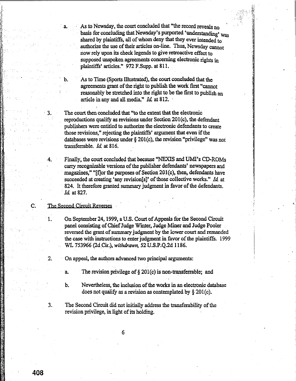As to Newsday, the court concluded that "the record reveals no basis for concluding that Newsday's purported 'understanding' was shared by plaintiffs, all of whom deny that they ever intended to authorize the use of their articles on-line. Thus, Newsday cannot now rely upon its check legends to give retroactive effect to supposed unspoken agreements concerning electronic rights in plaintiffs' articles." 972 F.Supp. at 811.

As to Time (Sports Illustrated), the court concluded that the agreements grant of the right to publish the work first "cannot" reasonably be stretched into the right to be the first to publish an article in any and all media." Id. at 812.

The court then concluded that "to the extent that the electronic reproductions qualify as revisions under Section 201(c), the defendant publishers were entitled to authorize the electronic defendants to create those revisions," rejecting the plaintiffs' argument that even if the databases were revisions under  $\S 201(c)$ , the revision "privilege" was not transferrable. Id. at 816.

Finally, the court concluded that because "NEXIS and UMI's CD-ROMs carry recognizable versions of the publisher defendants' newspapers and magazines," "If for the purposes of Section 201(c), then, defendants have succeeded at creating 'any revision[s]' of those collective works." Id. at 824. It therefore granted summary judgment in favor of the defendants. Id. at 827.

### The Second Circuit Reverses

 $\overline{a}$ 

3.

 $\overline{\mathbf{4}}$ 

1.

 $\overline{2}$ .

3.

C.

On September 24, 1999, a U.S. Court of Appeals for the Second Circuit panel consisting of Chief Judge Winter, Judge Miner and Judge Pooler reversed the grant of summary judgment by the lower court and remanded the case with instructions to enter judgment in favor of the plaintiffs. 1999 WL 753966 (2d Cir.), withdrawn, 52 U.S.P.Q.2d 1186.

On appeal, the authors advanced two principal arguments:

The revision privilege of  $\S 201(c)$  is non-transferrable; and

Nevertheless, the inclusion of the works in an electronic database b. does not qualify as a revision as contemplated by  $\S 201(c)$ .

The Second Circuit did not initially address the transferability of the revision privilege, in light of its holding.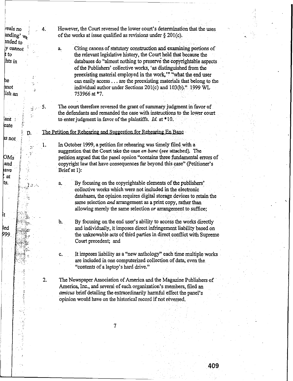reals no However, the Court reversed the lower court's determination that the uses anding' wa of the works at issue qualified as revisions under  $\delta$  201(c). ended to y cannot Citing canons of statutory construction and examining portions of a. t to the relevant legislative history, the Court held that because the hts in databases do "almost nothing to preserve the convrightable aspects" of the Publishers' collective works, 'as distinguished from the preexisting material employed in the work." "what the end user he can easily access . . . are the preexisting materials that belong to the hnot individual author under Sections 201(c) and 103(b)." 1999 WL lish an 753966 at \*7. The court therefore reversed the grant of summary judgment in favor of  $\cdot$  5.  $\mathbf{q}$  . the defendants and remanded the case with instructions to the lower court ď. to enter judgment in favor of the plaintiffs.  $Id$ . at \*10. lant : eate The Petition for Rehearing and Suggestion for Rehearing En Banc D. es not In October 1999, a petition for rehearing was timely filed with a  $1.$  $\mathbb{R}$ suggestion that the Court take the case en banc (see attached). The  $OMs$ petition argued that the panel opnion "contains three fundamental errors of copyright law that have consequences far beyond this case" (Petitioner's and lave Brief at 1): at lts. By focusing on the copyrightable elements of the publishers' a. 2012. collective works which were not included in the electronic databases, the opinion requires digital storage devices to retain the Ý. same selection and arrangement as a print copy, rather than allowing merely the same selection or arrangement to suffice; By focusing on the end user's ability to access the works directly b. led and individually, it imposes direct infringement liability based on 999. the unknowable acts of third parties in direct conflict with Supreme Court precedent; and It imposes liability as a "new anthology" each time multiple works c. are included in one computerized collection of data, even the "contents of a laptop's hard drive."  $2.$ The Newspaper Association of America and the Magazine Publishers of America. Inc., and several of each organization's members, filed an amicus brief detailing the extraordinarily harmful effect the panel's opinion would have on the historical record if not reversed.

 $\overline{7}$ 

İt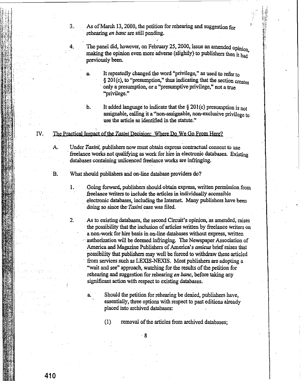As of March 13, 2000, the petition for rehearing and suggestion for rehearing *en banc* are still pending.

The panel did, however, on February 25, 2000, issue an amended opinion. making the opinion even more adverse (slightly) to publishers then it had previously been.

a. It repeatedly changed the word "privilege," as used to refer to § 201(c), to "presumption," thus indicating that the section creates . onlya presumption, or a ''presumptive privilege,"not a true ''privilege.''

3.

4.

1.

b. It added language to indicate that the  $\S 201(c)$  presumption is not assignable, calling it a "non-assignable; non-exclusive privilege to use the article as identified in the statute."

IV. The Practical Impact of the *Tasini* Decision: Where Do We Go From Here?

A. Under Tasini, publishers now must obtain express contractual consent to use freelance works not qualifying as work for hire in electronic databases. Existing databases containing unlicenced freelance works are infringing.

B. What should publishers and on-line database providers do?

Going forward, publishers should obtain express, written permission from freelance writers to include the articles in individually accessible electronic databases, including the Internet. Many publishers have been doing so since the *Tasini* case was filed.

2. As to existing databases, the second Circuit's opinion, as amended, raises the possibility that the inclusion of articles written by freelance writers on a non-work for hire basis in on-line databases without express, written authorization will be deemed infringing. The Newspaper Association of America and Magazine Publishers of America's *amicus* brief raises that possibility that publishers may well be forced to withdraw these articled from services such as LEXIS-NEXIS. Most publishers are adopting a "wait and see" approach, watching for the results of the petition for rehearing and suggestion for rehearing *en banc*, before taking any significant action with respect to existing databases.

a. Should the petition for rehearing be denied, publishers have, essentially, three options with respect to past editions already placed into archived databases:

(I) removal of the articles fromarchived databases;